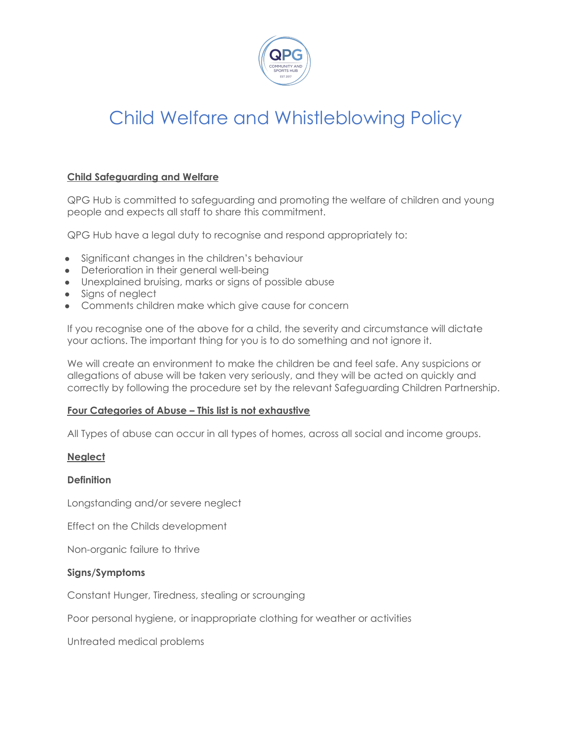

## **Child Safeguarding and Welfare**

QPG Hub is committed to safeguarding and promoting the welfare of children and young people and expects all staff to share this commitment.

QPG Hub have a legal duty to recognise and respond appropriately to:

- Significant changes in the children's behaviour
- Deterioration in their general well-being
- Unexplained bruising, marks or signs of possible abuse
- Signs of neglect
- Comments children make which give cause for concern

If you recognise one of the above for a child, the severity and circumstance will dictate your actions. The important thing for you is to do something and not ignore it.

We will create an environment to make the children be and feel safe. Any suspicions or allegations of abuse will be taken very seriously, and they will be acted on quickly and correctly by following the procedure set by the relevant Safeguarding Children Partnership.

## **Four Categories of Abuse – This list is not exhaustive**

All Types of abuse can occur in all types of homes, across all social and income groups.

## **Neglect**

## **Definition**

Longstanding and/or severe neglect

Effect on the Childs development

Non-organic failure to thrive

## **Signs/Symptoms**

Constant Hunger, Tiredness, stealing or scrounging

Poor personal hygiene, or inappropriate clothing for weather or activities

Untreated medical problems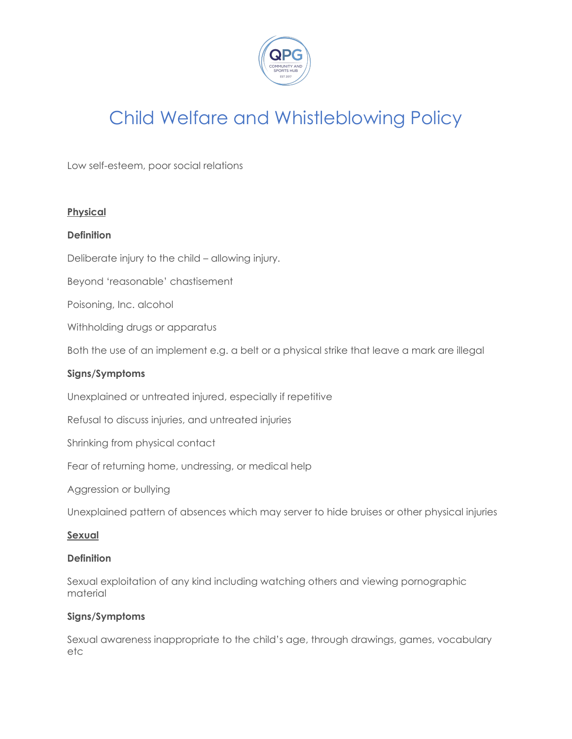

Low self-esteem, poor social relations

## **Physical**

## **Definition**

Deliberate injury to the child – allowing injury.

Beyond 'reasonable' chastisement

Poisoning, Inc. alcohol

Withholding drugs or apparatus

Both the use of an implement e.g. a belt or a physical strike that leave a mark are illegal

## **Signs/Symptoms**

Unexplained or untreated injured, especially if repetitive

Refusal to discuss injuries, and untreated injuries

Shrinking from physical contact

Fear of returning home, undressing, or medical help

Aggression or bullying

Unexplained pattern of absences which may server to hide bruises or other physical injuries

### **Sexual**

### **Definition**

Sexual exploitation of any kind including watching others and viewing pornographic material

### **Signs/Symptoms**

Sexual awareness inappropriate to the child's age, through drawings, games, vocabulary etc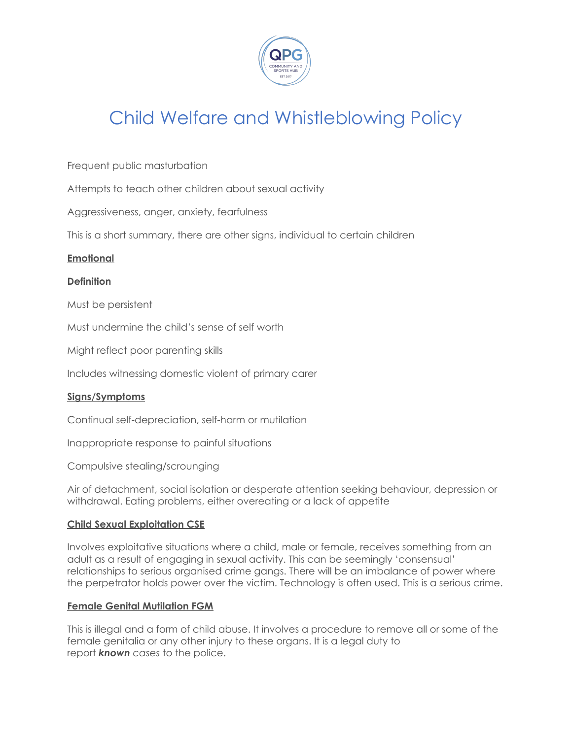

Frequent public masturbation

Attempts to teach other children about sexual activity

Aggressiveness, anger, anxiety, fearfulness

This is a short summary, there are other signs, individual to certain children

### **Emotional**

### **Definition**

Must be persistent

Must undermine the child's sense of self worth

Might reflect poor parenting skills

Includes witnessing domestic violent of primary carer

## **Signs/Symptoms**

Continual self-depreciation, self-harm or mutilation

Inappropriate response to painful situations

Compulsive stealing/scrounging

Air of detachment, social isolation or desperate attention seeking behaviour, depression or withdrawal. Eating problems, either overeating or a lack of appetite

### **Child Sexual Exploitation CSE**

Involves exploitative situations where a child, male or female, receives something from an adult as a result of engaging in sexual activity. This can be seemingly 'consensual' relationships to serious organised crime gangs. There will be an imbalance of power where the perpetrator holds power over the victim. Technology is often used. This is a serious crime.

### **Female Genital Mutilation FGM**

This is illegal and a form of child abuse. It involves a procedure to remove all or some of the female genitalia or any other injury to these organs. It is a legal duty to report *known cases* to the police.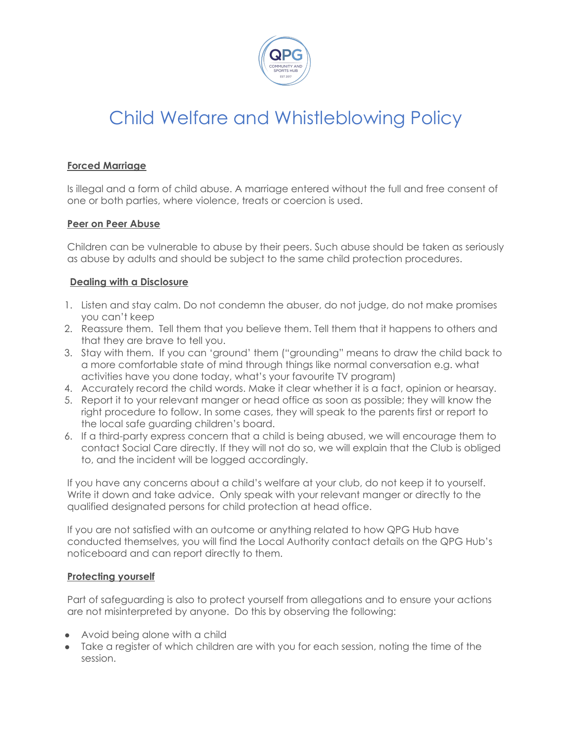

## **Forced Marriage**

Is illegal and a form of child abuse. A marriage entered without the full and free consent of one or both parties, where violence, treats or coercion is used.

## **Peer on Peer Abuse**

Children can be vulnerable to abuse by their peers. Such abuse should be taken as seriously as abuse by adults and should be subject to the same child protection procedures.

## **Dealing with a Disclosure**

- 1. Listen and stay calm. Do not condemn the abuser, do not judge, do not make promises you can't keep
- 2. Reassure them. Tell them that you believe them. Tell them that it happens to others and that they are brave to tell you.
- 3. Stay with them. If you can 'ground' them ("grounding" means to draw the child back to a more comfortable state of mind through things like normal conversation e.g. what activities have you done today, what's your favourite TV program)
- 4. Accurately record the child words. Make it clear whether it is a fact, opinion or hearsay.
- 5. Report it to your relevant manger or head office as soon as possible; they will know the right procedure to follow. In some cases, they will speak to the parents first or report to the local safe guarding children's board.
- 6. If a third-party express concern that a child is being abused, we will encourage them to contact Social Care directly. If they will not do so, we will explain that the Club is obliged to, and the incident will be logged accordingly.

If you have any concerns about a child's welfare at your club, do not keep it to yourself. Write it down and take advice. Only speak with your relevant manger or directly to the qualified designated persons for child protection at head office.

If you are not satisfied with an outcome or anything related to how QPG Hub have conducted themselves, you will find the Local Authority contact details on the QPG Hub's noticeboard and can report directly to them.

## **Protecting yourself**

Part of safeguarding is also to protect yourself from allegations and to ensure your actions are not misinterpreted by anyone. Do this by observing the following:

- Avoid being alone with a child
- Take a register of which children are with you for each session, noting the time of the session.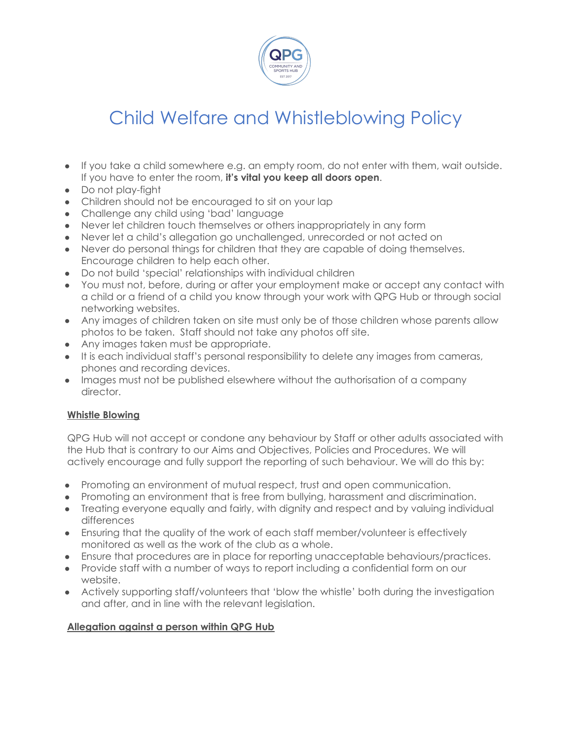

- If you take a child somewhere e.g. an empty room, do not enter with them, wait outside. If you have to enter the room, **it's vital you keep all doors open**.
- Do not play-fight
- Children should not be encouraged to sit on your lap
- Challenge any child using 'bad' language
- Never let children touch themselves or others inappropriately in any form
- Never let a child's allegation go unchallenged, unrecorded or not acted on
- Never do personal things for children that they are capable of doing themselves. Encourage children to help each other.
- Do not build 'special' relationships with individual children
- You must not, before, during or after your employment make or accept any contact with a child or a friend of a child you know through your work with QPG Hub or through social networking websites.
- Any images of children taken on site must only be of those children whose parents allow photos to be taken. Staff should not take any photos off site.
- Any images taken must be appropriate.
- It is each individual staff's personal responsibility to delete any images from cameras, phones and recording devices.
- Images must not be published elsewhere without the authorisation of a company director.

## **Whistle Blowing**

QPG Hub will not accept or condone any behaviour by Staff or other adults associated with the Hub that is contrary to our Aims and Objectives, Policies and Procedures. We will actively encourage and fully support the reporting of such behaviour. We will do this by:

- Promoting an environment of mutual respect, trust and open communication.
- Promoting an environment that is free from bullying, harassment and discrimination.
- Treating everyone equally and fairly, with dignity and respect and by valuing individual differences
- Ensuring that the quality of the work of each staff member/volunteer is effectively monitored as well as the work of the club as a whole.
- Ensure that procedures are in place for reporting unacceptable behaviours/practices.
- Provide staff with a number of ways to report including a confidential form on our website.
- Actively supporting staff/volunteers that 'blow the whistle' both during the investigation and after, and in line with the relevant legislation.

## **Allegation against a person within QPG Hub**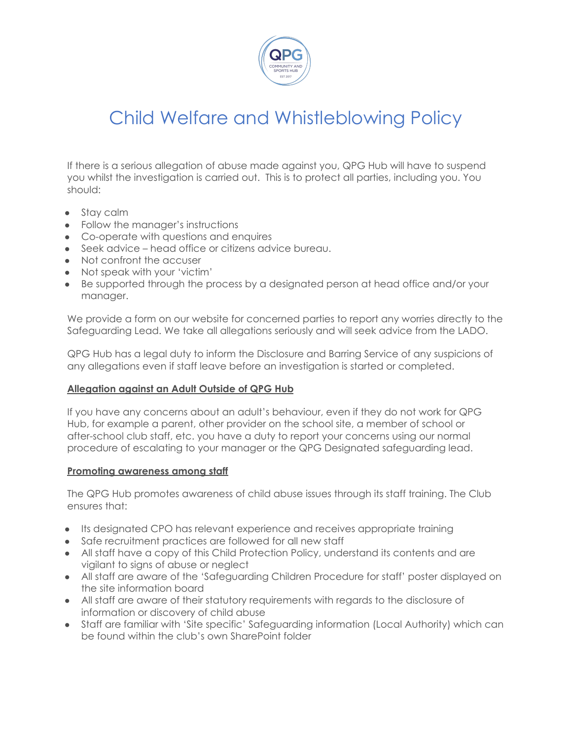

If there is a serious allegation of abuse made against you, QPG Hub will have to suspend you whilst the investigation is carried out. This is to protect all parties, including you. You should:

- Stav calm
- Follow the manager's instructions
- Co-operate with questions and enquires
- Seek advice head office or citizens advice bureau.
- Not confront the accuser
- Not speak with your 'victim'
- Be supported through the process by a designated person at head office and/or your manager.

We provide a form on our website for concerned parties to report any worries directly to the Safeguarding Lead. We take all allegations seriously and will seek advice from the LADO.

QPG Hub has a legal duty to inform the Disclosure and Barring Service of any suspicions of any allegations even if staff leave before an investigation is started or completed.

## **Allegation against an Adult Outside of QPG Hub**

If you have any concerns about an adult's behaviour, even if they do not work for QPG Hub, for example a parent, other provider on the school site, a member of school or after-school club staff, etc. you have a duty to report your concerns using our normal procedure of escalating to your manager or the QPG Designated safeguarding lead.

### **Promoting awareness among staff**

The QPG Hub promotes awareness of child abuse issues through its staff training. The Club ensures that:

- Its designated CPO has relevant experience and receives appropriate training
- Safe recruitment practices are followed for all new staff
- All staff have a copy of this Child Protection Policy, understand its contents and are vigilant to signs of abuse or neglect
- All staff are aware of the 'Safeguarding Children Procedure for staff' poster displayed on the site information board
- All staff are aware of their statutory requirements with regards to the disclosure of information or discovery of child abuse
- Staff are familiar with 'Site specific' Safeguarding information (Local Authority) which can be found within the club's own SharePoint folder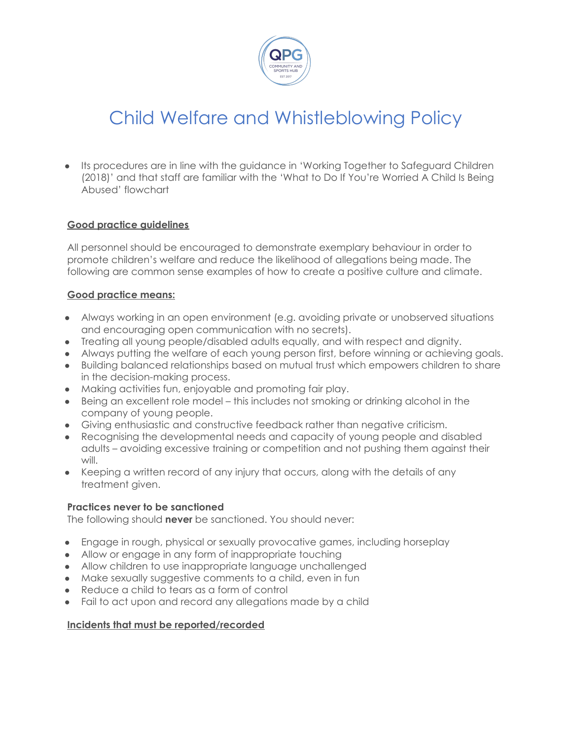

● Its procedures are in line with the guidance in 'Working Together to Safeguard Children (2018)' and that staff are familiar with the 'What to Do If You're Worried A Child Is Being Abused' flowchart

## **Good practice guidelines**

All personnel should be encouraged to demonstrate exemplary behaviour in order to promote children's welfare and reduce the likelihood of allegations being made. The following are common sense examples of how to create a positive culture and climate.

## **Good practice means:**

- Always working in an open environment (e.g. avoiding private or unobserved situations and encouraging open communication with no secrets).
- Treating all young people/disabled adults equally, and with respect and dignity.
- Always putting the welfare of each young person first, before winning or achieving goals.
- Building balanced relationships based on mutual trust which empowers children to share in the decision-making process.
- Making activities fun, enjoyable and promoting fair play.
- Being an excellent role model this includes not smoking or drinking alcohol in the company of young people.
- Giving enthusiastic and constructive feedback rather than negative criticism.
- Recognising the developmental needs and capacity of young people and disabled adults – avoiding excessive training or competition and not pushing them against their will.
- Keeping a written record of any injury that occurs, along with the details of any treatment given.

### **Practices never to be sanctioned**

The following should **never** be sanctioned. You should never:

- Engage in rough, physical or sexually provocative games, including horseplay
- Allow or engage in any form of inappropriate touching
- Allow children to use inappropriate language unchallenged
- Make sexually suggestive comments to a child, even in fun
- Reduce a child to tears as a form of control
- Fail to act upon and record any allegations made by a child

### **Incidents that must be reported/recorded**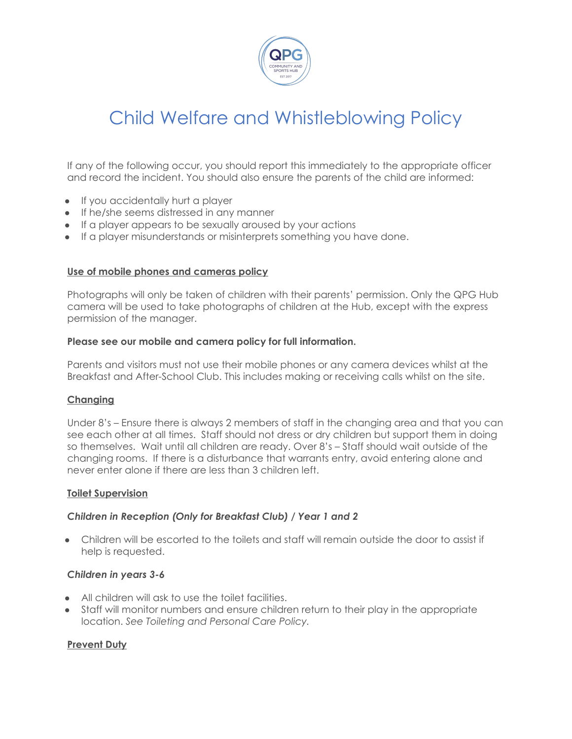

If any of the following occur, you should report this immediately to the appropriate officer and record the incident. You should also ensure the parents of the child are informed:

- If you accidentally hurt a player
- If he/she seems distressed in any manner
- If a player appears to be sexually aroused by your actions
- If a player misunderstands or misinterprets something you have done.

### **Use of mobile phones and cameras policy**

Photographs will only be taken of children with their parents' permission. Only the QPG Hub camera will be used to take photographs of children at the Hub, except with the express permission of the manager.

### **Please see our mobile and camera policy for full information.**

Parents and visitors must not use their mobile phones or any camera devices whilst at the Breakfast and After-School Club. This includes making or receiving calls whilst on the site.

## **Changing**

Under 8's – Ensure there is always 2 members of staff in the changing area and that you can see each other at all times. Staff should not dress or dry children but support them in doing so themselves. Wait until all children are ready. Over 8's – Staff should wait outside of the changing rooms. If there is a disturbance that warrants entry, avoid entering alone and never enter alone if there are less than 3 children left.

### **Toilet Supervision**

## *Children in Reception (Only for Breakfast Club) / Year 1 and 2*

● Children will be escorted to the toilets and staff will remain outside the door to assist if help is requested.

### *Children in years 3-6*

- All children will ask to use the toilet facilities.
- Staff will monitor numbers and ensure children return to their play in the appropriate location. *See Toileting and Personal Care Policy.*

## **Prevent Duty**